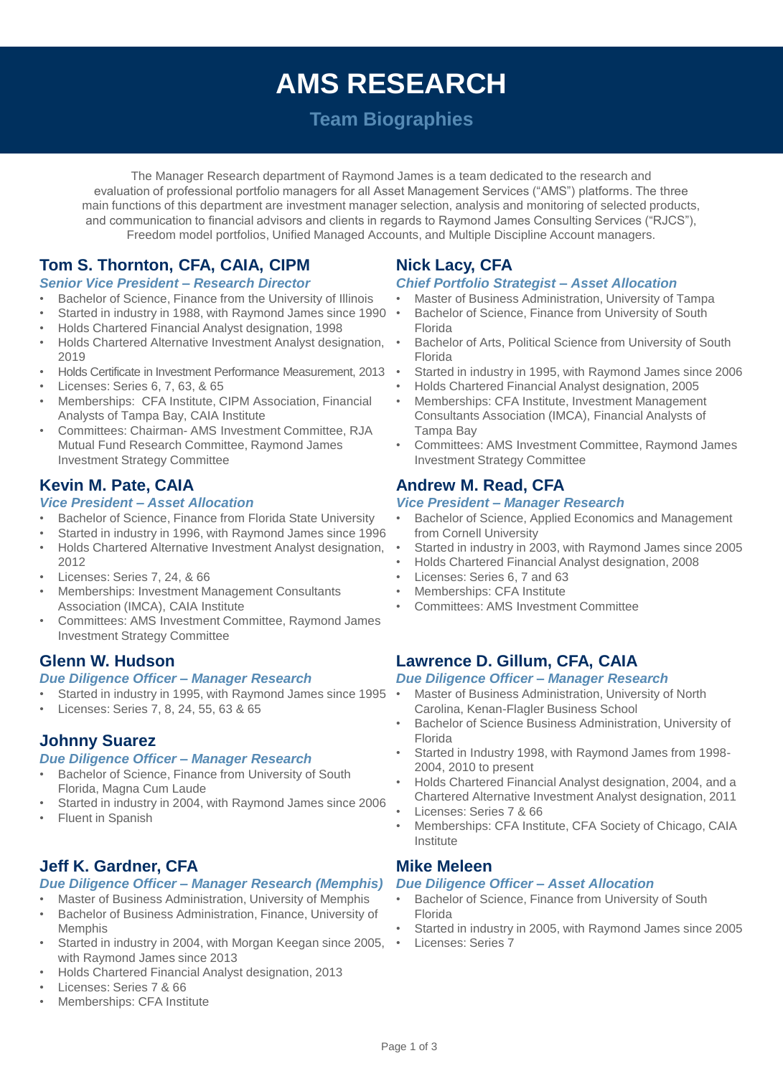# **AMS RESEARCH**

## **Team Biographies**

The Manager Research department of Raymond James is a team dedicated to the research and evaluation of professional portfolio managers for all Asset Management Services ("AMS") platforms. The three main functions of this department are investment manager selection, analysis and monitoring of selected products, and communication to financial advisors and clients in regards to Raymond James Consulting Services ("RJCS"), Freedom model portfolios, Unified Managed Accounts, and Multiple Discipline Account managers.

## **Tom S. Thornton, CFA, CAIA, CIPM**

#### *Senior Vice President – Research Director*

- Bachelor of Science, Finance from the University of Illinois
- Started in industry in 1988, with Raymond James since 1990
- Holds Chartered Financial Analyst designation, 1998
- Holds Chartered Alternative Investment Analyst designation, 2019
- Holds Certificate in Investment Performance Measurement, 2013
- Licenses: Series 6, 7, 63, & 65
- Memberships: CFA Institute, CIPM Association, Financial Analysts of Tampa Bay, CAIA Institute
- Committees: Chairman- AMS Investment Committee, RJA Mutual Fund Research Committee, Raymond James Investment Strategy Committee

## **Kevin M. Pate, CAIA**

#### *Vice President – Asset Allocation*

- Bachelor of Science, Finance from Florida State University
- Started in industry in 1996, with Raymond James since 1996
- Holds Chartered Alternative Investment Analyst designation, 2012
- Licenses: Series 7, 24, & 66
- Memberships: Investment Management Consultants Association (IMCA), CAIA Institute
- Committees: AMS Investment Committee, Raymond James Investment Strategy Committee

## **Glenn W. Hudson**

#### *Due Diligence Officer – Manager Research*

- Started in industry in 1995, with Raymond James since 1995
- Licenses: Series 7, 8, 24, 55, 63 & 65

## **Johnny Suarez**

#### *Due Diligence Officer – Manager Research*

- Bachelor of Science, Finance from University of South Florida, Magna Cum Laude
- Started in industry in 2004, with Raymond James since 2006
- **Fluent in Spanish**

## **Jeff K. Gardner, CFA**

#### *Due Diligence Officer – Manager Research (Memphis)*

- Master of Business Administration, University of Memphis
- Bachelor of Business Administration, Finance, University of Memphis
- Started in industry in 2004, with Morgan Keegan since 2005, with Raymond James since 2013
- Holds Chartered Financial Analyst designation, 2013
- Licenses: Series 7 & 66
- Memberships: CFA Institute

## **Nick Lacy, CFA**

#### *Chief Portfolio Strategist – Asset Allocation*

- Master of Business Administration, University of Tampa
- Bachelor of Science, Finance from University of South Florida
- Bachelor of Arts, Political Science from University of South Florida
- Started in industry in 1995, with Raymond James since 2006
- Holds Chartered Financial Analyst designation, 2005
- Memberships: CFA Institute, Investment Management Consultants Association (IMCA), Financial Analysts of Tampa Bay
- Committees: AMS Investment Committee, Raymond James Investment Strategy Committee

## **Andrew M. Read, CFA**

#### *Vice President – Manager Research*

- Bachelor of Science, Applied Economics and Management from Cornell University
- Started in industry in 2003, with Raymond James since 2005
- Holds Chartered Financial Analyst designation, 2008
- Licenses: Series 6, 7 and 63
- Memberships: CFA Institute
- Committees: AMS Investment Committee

## **Lawrence D. Gillum, CFA, CAIA**

#### *Due Diligence Officer – Manager Research*

- Master of Business Administration, University of North Carolina, Kenan-Flagler Business School
- Bachelor of Science Business Administration, University of Florida
- Started in Industry 1998, with Raymond James from 1998- 2004, 2010 to present
- Holds Chartered Financial Analyst designation, 2004, and a Chartered Alternative Investment Analyst designation, 2011
- Licenses: Series 7 & 66
- Memberships: CFA Institute, CFA Society of Chicago, CAIA Institute

## **Mike Meleen**

#### *Due Diligence Officer – Asset Allocation*

- Bachelor of Science, Finance from University of South Florida
- Started in industry in 2005, with Raymond James since 2005
- Licenses: Series 7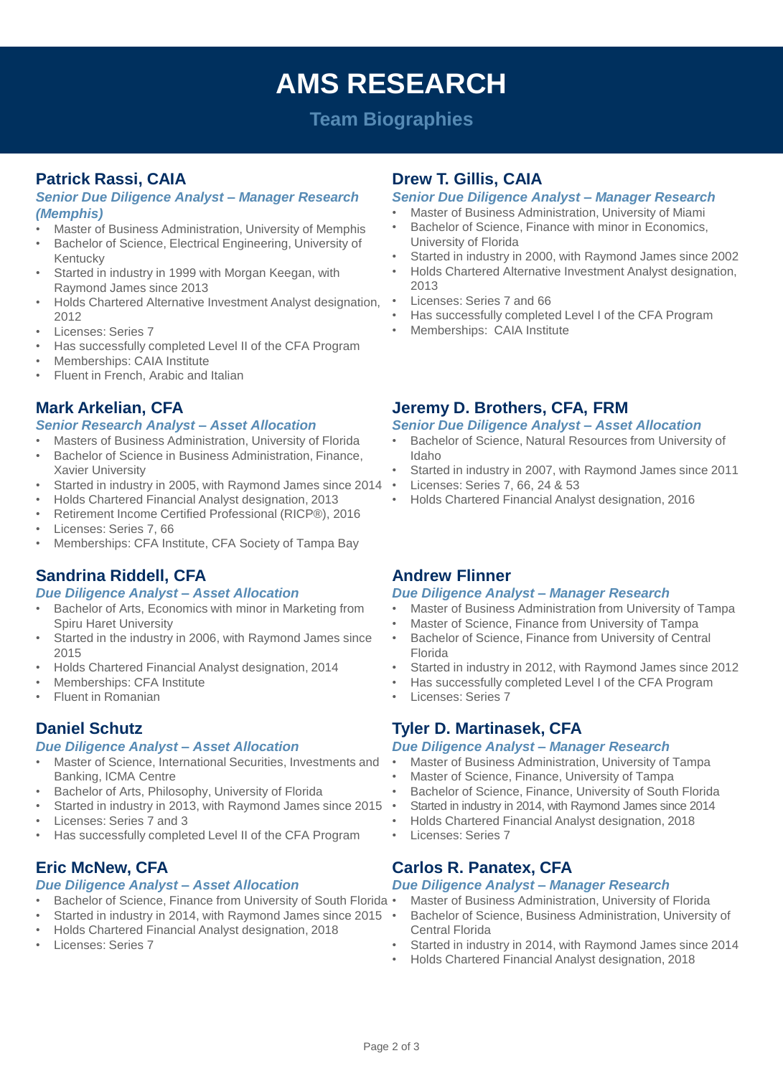## **AMS RESEARCH**

## **Team Biographies**

## **Patrick Rassi, CAIA**

#### *Senior Due Diligence Analyst – Manager Research (Memphis)*

- Master of Business Administration, University of Memphis
- Bachelor of Science, Electrical Engineering, University of Kentucky
- Started in industry in 1999 with Morgan Keegan, with Raymond James since 2013
- Holds Chartered Alternative Investment Analyst designation, 2012
- Licenses: Series 7
- Has successfully completed Level II of the CFA Program
- Memberships: CAIA Institute
- Fluent in French, Arabic and Italian

## **Mark Arkelian, CFA**

#### *Senior Research Analyst – Asset Allocation*

- Masters of Business Administration, University of Florida
- Bachelor of Science in Business Administration, Finance, Xavier University
- Started in industry in 2005, with Raymond James since 2014
- Holds Chartered Financial Analyst designation, 2013
- Retirement Income Certified Professional (RICP®), 2016
- Licenses: Series 7, 66
- Memberships: CFA Institute, CFA Society of Tampa Bay

## **Sandrina Riddell, CFA**

#### *Due Diligence Analyst – Asset Allocation*

- Bachelor of Arts, Economics with minor in Marketing from Spiru Haret University
- Started in the industry in 2006, with Raymond James since 2015
- Holds Chartered Financial Analyst designation, 2014
- Memberships: CFA Institute
- Fluent in Romanian

## **Daniel Schutz**

#### *Due Diligence Analyst – Asset Allocation*

- Master of Science, International Securities, Investments and Banking, ICMA Centre
- Bachelor of Arts, Philosophy, University of Florida
- Started in industry in 2013, with Raymond James since 2015
- Licenses: Series 7 and 3
- Has successfully completed Level II of the CFA Program

## **Eric McNew, CFA**

#### *Due Diligence Analyst – Asset Allocation*

- Bachelor of Science, Finance from University of South Florida
- Started in industry in 2014, with Raymond James since 2015
- Holds Chartered Financial Analyst designation, 2018
- Licenses: Series 7

## **Drew T. Gillis, CAIA**

#### *Senior Due Diligence Analyst – Manager Research*

- Master of Business Administration, University of Miami
- Bachelor of Science, Finance with minor in Economics, University of Florida
- Started in industry in 2000, with Raymond James since 2002
- Holds Chartered Alternative Investment Analyst designation, 2013
- Licenses: Series 7 and 66
- Has successfully completed Level I of the CFA Program
- Memberships: CAIA Institute

## **Jeremy D. Brothers, CFA, FRM**

#### *Senior Due Diligence Analyst – Asset Allocation*

- Bachelor of Science, Natural Resources from University of Idaho
- Started in industry in 2007, with Raymond James since 2011
- Licenses: Series 7, 66, 24 & 53
- Holds Chartered Financial Analyst designation, 2016

## **Andrew Flinner**

#### *Due Diligence Analyst – Manager Research*

- Master of Business Administration from University of Tampa
- Master of Science, Finance from University of Tampa
- Bachelor of Science, Finance from University of Central Florida
- Started in industry in 2012, with Raymond James since 2012
- Has successfully completed Level I of the CFA Program
- Licenses: Series 7

## **Tyler D. Martinasek, CFA**

#### *Due Diligence Analyst – Manager Research*

- Master of Business Administration, University of Tampa
- Master of Science, Finance, University of Tampa
- Bachelor of Science, Finance, University of South Florida
- Started in industry in 2014, with Raymond James since 2014
- Holds Chartered Financial Analyst designation, 2018
- Licenses: Series 7

## **Carlos R. Panatex, CFA**

#### *Due Diligence Analyst – Manager Research*

- Master of Business Administration, University of Florida
- Bachelor of Science, Business Administration, University of Central Florida
- Started in industry in 2014, with Raymond James since 2014
- Holds Chartered Financial Analyst designation, 2018